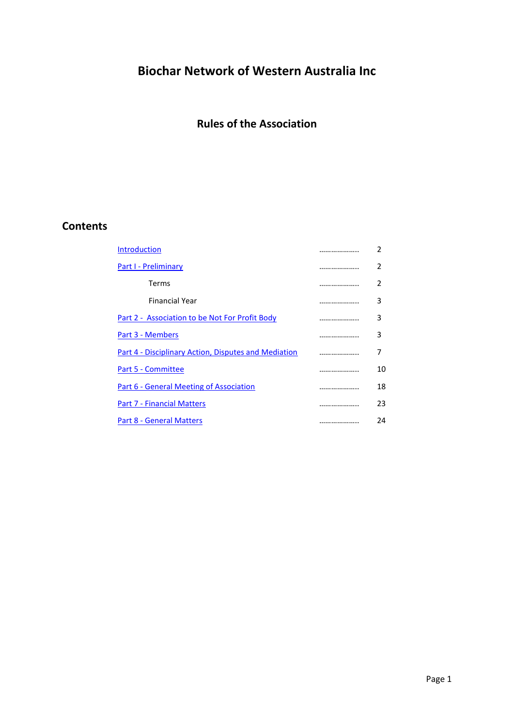# **Biochar Network of Western Australia Inc**

# **Rules of the Association**

## **Contents**

| <b>Introduction</b>                                  |   | 2  |
|------------------------------------------------------|---|----|
| Part I - Preliminary                                 | . | 2  |
| Terms                                                |   | 2  |
| <b>Financial Year</b>                                | . | 3  |
| Part 2 - Association to be Not For Profit Body       |   | 3  |
| Part 3 - Members                                     | . | 3  |
| Part 4 - Disciplinary Action, Disputes and Mediation |   | 7  |
| Part 5 - Committee                                   |   | 10 |
| <b>Part 6 - General Meeting of Association</b>       |   | 18 |
| <b>Part 7 - Financial Matters</b>                    |   | 23 |
| Part 8 - General Matters                             |   | 24 |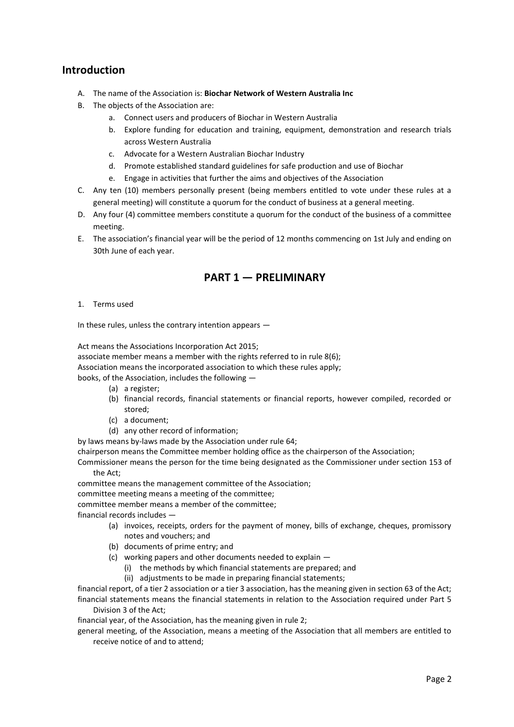### <span id="page-1-0"></span>**Introduction**

- A. The name of the Association is: **Biochar Network of Western Australia Inc**
- B. The objects of the Association are:
	- a. Connect users and producers of Biochar in Western Australia
	- b. Explore funding for education and training, equipment, demonstration and research trials across Western Australia
	- c. Advocate for a Western Australian Biochar Industry
	- d. Promote established standard guidelines for safe production and use of Biochar
	- e. Engage in activities that further the aims and objectives of the Association
- C. Any ten (10) members personally present (being members entitled to vote under these rules at a general meeting) will constitute a quorum for the conduct of business at a general meeting.
- D. Any four (4) committee members constitute a quorum for the conduct of the business of a committee meeting.
- E. The association's financial year will be the period of 12 months commencing on 1st July and ending on 30th June of each year.

### **PART 1 — PRELIMINARY**

<span id="page-1-1"></span>1. Terms used

In these rules, unless the contrary intention appears —

Act means the Associations Incorporation Act 2015;

associate member means a member with the rights referred to in rule 8(6);

Association means the incorporated association to which these rules apply;

books, of the Association, includes the following —

- (a) a register;
- (b) financial records, financial statements or financial reports, however compiled, recorded or stored;
- (c) a document;
- (d) any other record of information;

by laws means by-laws made by the Association under rule 64;

chairperson means the Committee member holding office as the chairperson of the Association;

Commissioner means the person for the time being designated as the Commissioner under section 153 of the Act;

committee means the management committee of the Association;

committee meeting means a meeting of the committee;

committee member means a member of the committee;

financial records includes —

- (a) invoices, receipts, orders for the payment of money, bills of exchange, cheques, promissory notes and vouchers; and
- (b) documents of prime entry; and
- (c) working papers and other documents needed to explain
	- (i) the methods by which financial statements are prepared; and
	- (ii) adjustments to be made in preparing financial statements;

financial report, of a tier 2 association or a tier 3 association, has the meaning given in section 63 of the Act; financial statements means the financial statements in relation to the Association required under Part 5 Division 3 of the Act;

financial year, of the Association, has the meaning given in rule 2;

general meeting, of the Association, means a meeting of the Association that all members are entitled to receive notice of and to attend;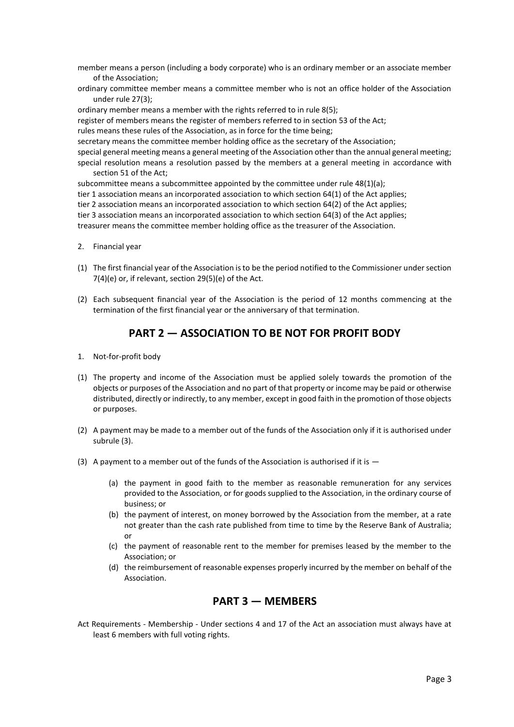- member means a person (including a body corporate) who is an ordinary member or an associate member of the Association;
- ordinary committee member means a committee member who is not an office holder of the Association under rule 27(3);

ordinary member means a member with the rights referred to in rule 8(5); register of members means the register of members referred to in section 53 of the Act; rules means these rules of the Association, as in force for the time being; secretary means the committee member holding office as the secretary of the Association; special general meeting means a general meeting of the Association other than the annual general meeting;

special resolution means a resolution passed by the members at a general meeting in accordance with section 51 of the Act;

subcommittee means a subcommittee appointed by the committee under rule 48(1)(a); tier 1 association means an incorporated association to which section 64(1) of the Act applies; tier 2 association means an incorporated association to which section 64(2) of the Act applies; tier 3 association means an incorporated association to which section 64(3) of the Act applies; treasurer means the committee member holding office as the treasurer of the Association.

- 2. Financial year
- (1) The first financial year of the Association is to be the period notified to the Commissioner under section 7(4)(e) or, if relevant, section 29(5)(e) of the Act.
- (2) Each subsequent financial year of the Association is the period of 12 months commencing at the termination of the first financial year or the anniversary of that termination.

### **PART 2 — ASSOCIATION TO BE NOT FOR PROFIT BODY**

- <span id="page-2-0"></span>1. Not-for-profit body
- (1) The property and income of the Association must be applied solely towards the promotion of the objects or purposes of the Association and no part of that property or income may be paid or otherwise distributed, directly or indirectly, to any member, except in good faith in the promotion of those objects or purposes.
- (2) A payment may be made to a member out of the funds of the Association only if it is authorised under subrule (3).
- (3) A payment to a member out of the funds of the Association is authorised if it is  $-$ 
	- (a) the payment in good faith to the member as reasonable remuneration for any services provided to the Association, or for goods supplied to the Association, in the ordinary course of business; or
	- (b) the payment of interest, on money borrowed by the Association from the member, at a rate not greater than the cash rate published from time to time by the Reserve Bank of Australia; or
	- (c) the payment of reasonable rent to the member for premises leased by the member to the Association; or
	- (d) the reimbursement of reasonable expenses properly incurred by the member on behalf of the Association.

### **PART 3 — MEMBERS**

<span id="page-2-1"></span>Act Requirements - Membership - Under sections 4 and 17 of the Act an association must always have at least 6 members with full voting rights.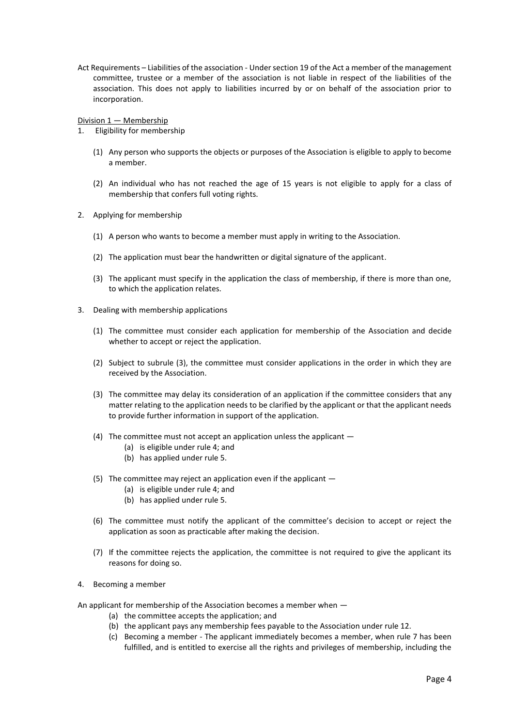Act Requirements – Liabilities of the association - Under section 19 of the Act a member of the management committee, trustee or a member of the association is not liable in respect of the liabilities of the association. This does not apply to liabilities incurred by or on behalf of the association prior to incorporation.

Division 1 — Membership

- 1. Eligibility for membership
	- (1) Any person who supports the objects or purposes of the Association is eligible to apply to become a member.
	- (2) An individual who has not reached the age of 15 years is not eligible to apply for a class of membership that confers full voting rights.
- 2. Applying for membership
	- (1) A person who wants to become a member must apply in writing to the Association.
	- (2) The application must bear the handwritten or digital signature of the applicant.
	- (3) The applicant must specify in the application the class of membership, if there is more than one, to which the application relates.
- 3. Dealing with membership applications
	- (1) The committee must consider each application for membership of the Association and decide whether to accept or reject the application.
	- (2) Subject to subrule (3), the committee must consider applications in the order in which they are received by the Association.
	- (3) The committee may delay its consideration of an application if the committee considers that any matter relating to the application needs to be clarified by the applicant or that the applicant needs to provide further information in support of the application.
	- (4) The committee must not accept an application unless the applicant
		- (a) is eligible under rule 4; and
		- (b) has applied under rule 5.
	- (5) The committee may reject an application even if the applicant
		- (a) is eligible under rule 4; and
		- (b) has applied under rule 5.
	- (6) The committee must notify the applicant of the committee's decision to accept or reject the application as soon as practicable after making the decision.
	- (7) If the committee rejects the application, the committee is not required to give the applicant its reasons for doing so.
- 4. Becoming a member

An applicant for membership of the Association becomes a member when —

- (a) the committee accepts the application; and
- (b) the applicant pays any membership fees payable to the Association under rule 12.
- (c) Becoming a member The applicant immediately becomes a member, when rule 7 has been fulfilled, and is entitled to exercise all the rights and privileges of membership, including the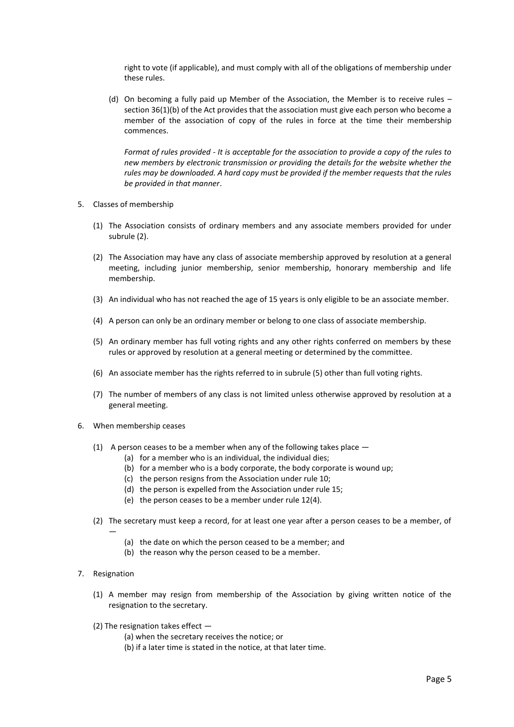right to vote (if applicable), and must comply with all of the obligations of membership under these rules.

(d) On becoming a fully paid up Member of the Association, the Member is to receive rules – section 36(1)(b) of the Act provides that the association must give each person who become a member of the association of copy of the rules in force at the time their membership commences.

*Format of rules provided - It is acceptable for the association to provide a copy of the rules to new members by electronic transmission or providing the details for the website whether the rules may be downloaded. A hard copy must be provided if the member requests that the rules be provided in that manner*.

- 5. Classes of membership
	- (1) The Association consists of ordinary members and any associate members provided for under subrule (2).
	- (2) The Association may have any class of associate membership approved by resolution at a general meeting, including junior membership, senior membership, honorary membership and life membership.
	- (3) An individual who has not reached the age of 15 years is only eligible to be an associate member.
	- (4) A person can only be an ordinary member or belong to one class of associate membership.
	- (5) An ordinary member has full voting rights and any other rights conferred on members by these rules or approved by resolution at a general meeting or determined by the committee.
	- (6) An associate member has the rights referred to in subrule (5) other than full voting rights.
	- (7) The number of members of any class is not limited unless otherwise approved by resolution at a general meeting.
- 6. When membership ceases
	- (1) A person ceases to be a member when any of the following takes place
		- (a) for a member who is an individual, the individual dies;
		- (b) for a member who is a body corporate, the body corporate is wound up;
		- (c) the person resigns from the Association under rule 10;
		- (d) the person is expelled from the Association under rule 15;
		- (e) the person ceases to be a member under rule 12(4).
	- (2) The secretary must keep a record, for at least one year after a person ceases to be a member, of
		- (a) the date on which the person ceased to be a member; and
		- (b) the reason why the person ceased to be a member.
- 7. Resignation

—

- (1) A member may resign from membership of the Association by giving written notice of the resignation to the secretary.
- (2) The resignation takes effect
	- (a) when the secretary receives the notice; or
	- (b) if a later time is stated in the notice, at that later time.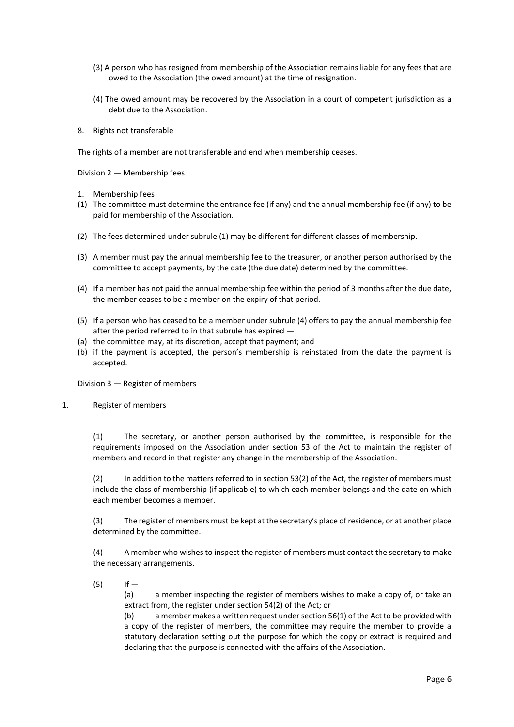- (3) A person who has resigned from membership of the Association remains liable for any fees that are owed to the Association (the owed amount) at the time of resignation.
- (4) The owed amount may be recovered by the Association in a court of competent jurisdiction as a debt due to the Association.
- 8. Rights not transferable

The rights of a member are not transferable and end when membership ceases.

Division 2 — Membership fees

- 1. Membership fees
- (1) The committee must determine the entrance fee (if any) and the annual membership fee (if any) to be paid for membership of the Association.
- (2) The fees determined under subrule (1) may be different for different classes of membership.
- (3) A member must pay the annual membership fee to the treasurer, or another person authorised by the committee to accept payments, by the date (the due date) determined by the committee.
- (4) If a member has not paid the annual membership fee within the period of 3 months after the due date, the member ceases to be a member on the expiry of that period.
- (5) If a person who has ceased to be a member under subrule (4) offers to pay the annual membership fee after the period referred to in that subrule has expired —
- (a) the committee may, at its discretion, accept that payment; and
- (b) if the payment is accepted, the person's membership is reinstated from the date the payment is accepted.

Division 3 — Register of members

1. Register of members

(1) The secretary, or another person authorised by the committee, is responsible for the requirements imposed on the Association under section 53 of the Act to maintain the register of members and record in that register any change in the membership of the Association.

(2) In addition to the matters referred to in section 53(2) of the Act, the register of members must include the class of membership (if applicable) to which each member belongs and the date on which each member becomes a member.

(3) The register of members must be kept at the secretary's place of residence, or at another place determined by the committee.

(4) A member who wishes to inspect the register of members must contact the secretary to make the necessary arrangements.

 $(5)$  If —

(a) a member inspecting the register of members wishes to make a copy of, or take an extract from, the register under section 54(2) of the Act; or

(b) a member makes a written request under section 56(1) of the Act to be provided with a copy of the register of members, the committee may require the member to provide a statutory declaration setting out the purpose for which the copy or extract is required and declaring that the purpose is connected with the affairs of the Association.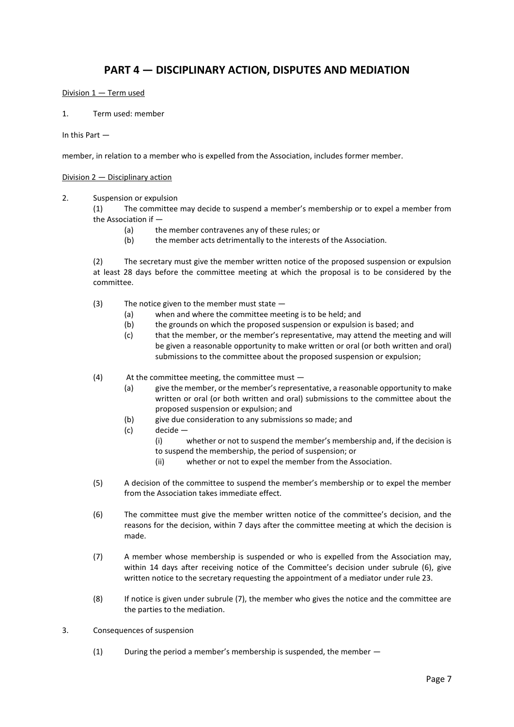### **PART 4 — DISCIPLINARY ACTION, DISPUTES AND MEDIATION**

#### <span id="page-6-0"></span>Division 1 — Term used

1. Term used: member

In this Part —

member, in relation to a member who is expelled from the Association, includes former member.

#### Division 2 — Disciplinary action

#### 2. Suspension or expulsion

(1) The committee may decide to suspend a member's membership or to expel a member from the Association if —

- (a) the member contravenes any of these rules; or
- (b) the member acts detrimentally to the interests of the Association.

(2) The secretary must give the member written notice of the proposed suspension or expulsion at least 28 days before the committee meeting at which the proposal is to be considered by the committee.

- (3) The notice given to the member must state
	- (a) when and where the committee meeting is to be held; and
	- (b) the grounds on which the proposed suspension or expulsion is based; and
	- (c) that the member, or the member's representative, may attend the meeting and will be given a reasonable opportunity to make written or oral (or both written and oral) submissions to the committee about the proposed suspension or expulsion;
- (4) At the committee meeting, the committee must
	- (a) give the member, or the member's representative, a reasonable opportunity to make written or oral (or both written and oral) submissions to the committee about the proposed suspension or expulsion; and
	- (b) give due consideration to any submissions so made; and
	- (c) decide
		- (i) whether or not to suspend the member's membership and, if the decision is to suspend the membership, the period of suspension; or
		- (ii) whether or not to expel the member from the Association.
- (5) A decision of the committee to suspend the member's membership or to expel the member from the Association takes immediate effect.
- (6) The committee must give the member written notice of the committee's decision, and the reasons for the decision, within 7 days after the committee meeting at which the decision is made.
- (7) A member whose membership is suspended or who is expelled from the Association may, within 14 days after receiving notice of the Committee's decision under subrule (6), give written notice to the secretary requesting the appointment of a mediator under rule 23.
- (8) If notice is given under subrule (7), the member who gives the notice and the committee are the parties to the mediation.
- 3. Consequences of suspension
	- $(1)$  During the period a member's membership is suspended, the member  $-$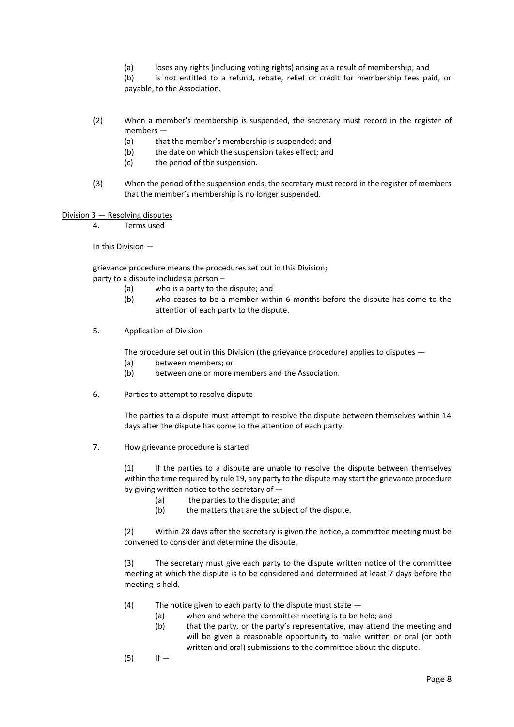(a) loses any rights (including voting rights) arising as a result of membership; and

(b) is not entitled to a refund, rebate, relief or credit for membership fees paid, or payable, to the Association.

- (2) When a member's membership is suspended, the secretary must record in the register of members —
	- (a) that the member's membership is suspended; and
	- (b) the date on which the suspension takes effect; and
	- (c) the period of the suspension.
- (3) When the period of the suspension ends, the secretary must record in the register of members that the member's membership is no longer suspended.

Division 3 — Resolving disputes

4. Terms used

In this Division —

grievance procedure means the procedures set out in this Division; party to a dispute includes a person –

- (a) who is a party to the dispute; and
- (b) who ceases to be a member within 6 months before the dispute has come to the attention of each party to the dispute.
- 5. Application of Division

The procedure set out in this Division (the grievance procedure) applies to disputes —

- (a) between members; or
- (b) between one or more members and the Association.
- 6. Parties to attempt to resolve dispute

The parties to a dispute must attempt to resolve the dispute between themselves within 14 days after the dispute has come to the attention of each party.

7. How grievance procedure is started

(1) If the parties to a dispute are unable to resolve the dispute between themselves within the time required by rule 19, any party to the dispute may start the grievance procedure by giving written notice to the secretary of —

- (a) the parties to the dispute; and
- (b) the matters that are the subject of the dispute.

(2) Within 28 days after the secretary is given the notice, a committee meeting must be convened to consider and determine the dispute.

(3) The secretary must give each party to the dispute written notice of the committee meeting at which the dispute is to be considered and determined at least 7 days before the meeting is held.

- (4) The notice given to each party to the dispute must state
	- (a) when and where the committee meeting is to be held; and
	- (b) that the party, or the party's representative, may attend the meeting and will be given a reasonable opportunity to make written or oral (or both written and oral) submissions to the committee about the dispute.
- $(5)$  If —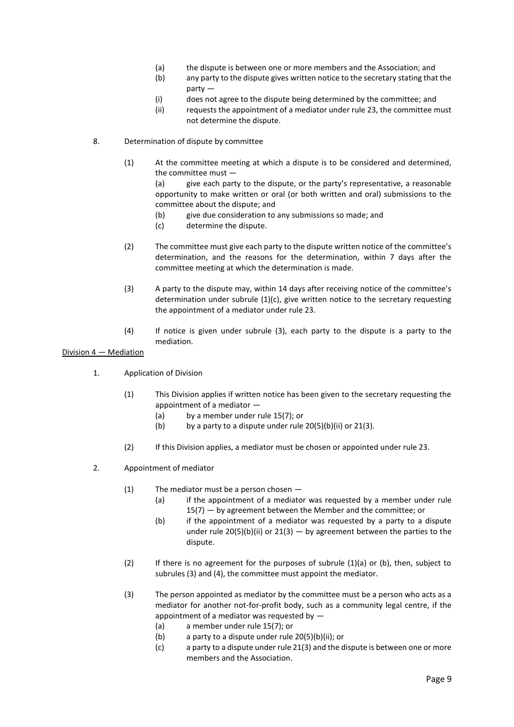- (a) the dispute is between one or more members and the Association; and
- (b) any party to the dispute gives written notice to the secretary stating that the party —
- (i) does not agree to the dispute being determined by the committee; and
- (ii) requests the appointment of a mediator under rule 23, the committee must not determine the dispute.
- 8. Determination of dispute by committee
	- (1) At the committee meeting at which a dispute is to be considered and determined, the committee must —

(a) give each party to the dispute, or the party's representative, a reasonable opportunity to make written or oral (or both written and oral) submissions to the committee about the dispute; and

- (b) give due consideration to any submissions so made; and
- (c) determine the dispute.
- (2) The committee must give each party to the dispute written notice of the committee's determination, and the reasons for the determination, within 7 days after the committee meeting at which the determination is made.
- (3) A party to the dispute may, within 14 days after receiving notice of the committee's determination under subrule (1)(c), give written notice to the secretary requesting the appointment of a mediator under rule 23.
- (4) If notice is given under subrule (3), each party to the dispute is a party to the mediation.

#### Division 4 — Mediation

- 1. Application of Division
	- (1) This Division applies if written notice has been given to the secretary requesting the appointment of a mediator —
		- (a) by a member under rule 15(7); or
		- (b) by a party to a dispute under rule  $20(5)(b)(ii)$  or  $21(3)$ .
	- (2) If this Division applies, a mediator must be chosen or appointed under rule 23.
- 2. Appointment of mediator
	- (1) The mediator must be a person chosen
		- (a) if the appointment of a mediator was requested by a member under rule 15(7) — by agreement between the Member and the committee; or
		- (b) if the appointment of a mediator was requested by a party to a dispute under rule 20(5)(b)(ii) or 21(3)  $-$  by agreement between the parties to the dispute.
	- (2) If there is no agreement for the purposes of subrule (1)(a) or (b), then, subject to subrules (3) and (4), the committee must appoint the mediator.
	- (3) The person appointed as mediator by the committee must be a person who acts as a mediator for another not-for-profit body, such as a community legal centre, if the appointment of a mediator was requested by  $-$ 
		- (a) a member under rule 15(7); or
		- (b) a party to a dispute under rule 20(5)(b)(ii); or
		- (c) a party to a dispute under rule 21(3) and the dispute is between one or more members and the Association.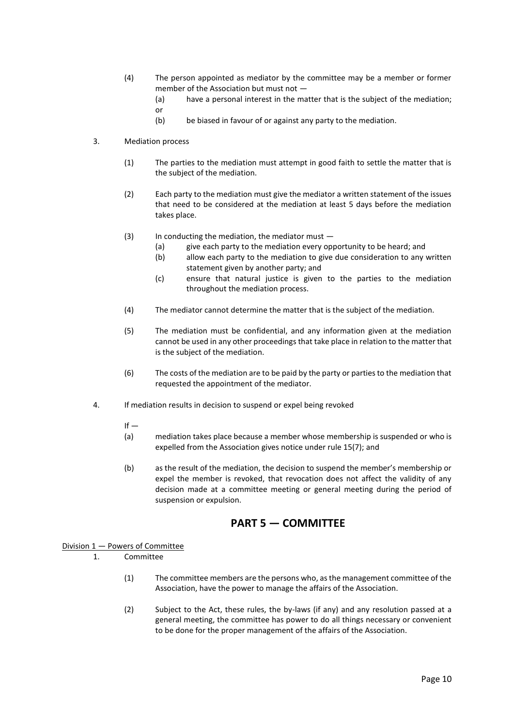- (4) The person appointed as mediator by the committee may be a member or former member of the Association but must not —
	- (a) have a personal interest in the matter that is the subject of the mediation;

or

(b) be biased in favour of or against any party to the mediation.

#### 3. Mediation process

- (1) The parties to the mediation must attempt in good faith to settle the matter that is the subject of the mediation.
- (2) Each party to the mediation must give the mediator a written statement of the issues that need to be considered at the mediation at least 5 days before the mediation takes place.
- (3) In conducting the mediation, the mediator must
	- (a) give each party to the mediation every opportunity to be heard; and
	- (b) allow each party to the mediation to give due consideration to any written statement given by another party; and
	- (c) ensure that natural justice is given to the parties to the mediation throughout the mediation process.
- (4) The mediator cannot determine the matter that is the subject of the mediation.
- (5) The mediation must be confidential, and any information given at the mediation cannot be used in any other proceedings that take place in relation to the matter that is the subject of the mediation.
- (6) The costs of the mediation are to be paid by the party or parties to the mediation that requested the appointment of the mediator.
- 4. If mediation results in decision to suspend or expel being revoked
	- $If -$
	- (a) mediation takes place because a member whose membership is suspended or who is expelled from the Association gives notice under rule 15(7); and
	- (b) as the result of the mediation, the decision to suspend the member's membership or expel the member is revoked, that revocation does not affect the validity of any decision made at a committee meeting or general meeting during the period of suspension or expulsion.

### **PART 5 — COMMITTEE**

#### <span id="page-9-0"></span>Division 1 — Powers of Committee

- 1. Committee
	- (1) The committee members are the persons who, as the management committee of the Association, have the power to manage the affairs of the Association.
	- (2) Subject to the Act, these rules, the by-laws (if any) and any resolution passed at a general meeting, the committee has power to do all things necessary or convenient to be done for the proper management of the affairs of the Association.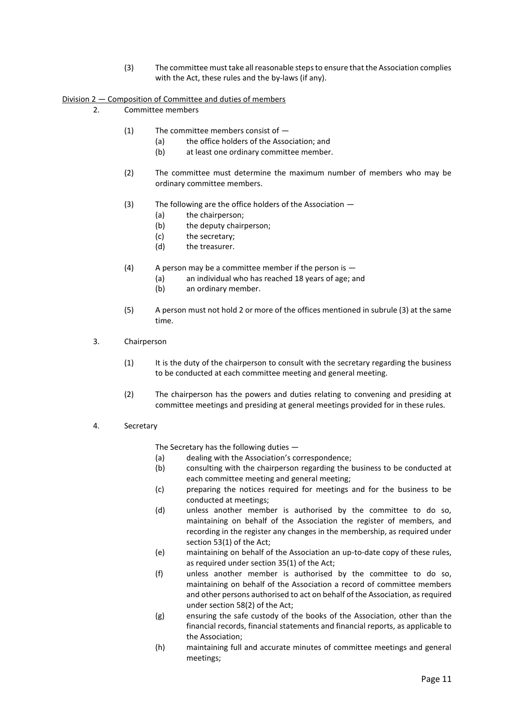(3) The committee must take all reasonable steps to ensure that the Association complies with the Act, these rules and the by-laws (if any).

#### Division 2 — Composition of Committee and duties of members

2. Committee members

- (1) The committee members consist of
	- (a) the office holders of the Association; and
	- (b) at least one ordinary committee member.
- (2) The committee must determine the maximum number of members who may be ordinary committee members.
- (3) The following are the office holders of the Association
	- (a) the chairperson;
	- (b) the deputy chairperson;
	- (c) the secretary;
	- (d) the treasurer.
- (4) A person may be a committee member if the person is  $-$ 
	- (a) an individual who has reached 18 years of age; and
	- (b) an ordinary member.
- (5) A person must not hold 2 or more of the offices mentioned in subrule (3) at the same time.
- 3. Chairperson
	- (1) It is the duty of the chairperson to consult with the secretary regarding the business to be conducted at each committee meeting and general meeting.
	- (2) The chairperson has the powers and duties relating to convening and presiding at committee meetings and presiding at general meetings provided for in these rules.
- 4. Secretary

The Secretary has the following duties —

- (a) dealing with the Association's correspondence;
- (b) consulting with the chairperson regarding the business to be conducted at each committee meeting and general meeting;
- (c) preparing the notices required for meetings and for the business to be conducted at meetings;
- (d) unless another member is authorised by the committee to do so, maintaining on behalf of the Association the register of members, and recording in the register any changes in the membership, as required under section 53(1) of the Act;
- (e) maintaining on behalf of the Association an up-to-date copy of these rules, as required under section 35(1) of the Act;
- (f) unless another member is authorised by the committee to do so, maintaining on behalf of the Association a record of committee members and other persons authorised to act on behalf of the Association, as required under section 58(2) of the Act;
- (g) ensuring the safe custody of the books of the Association, other than the financial records, financial statements and financial reports, as applicable to the Association;
- (h) maintaining full and accurate minutes of committee meetings and general meetings;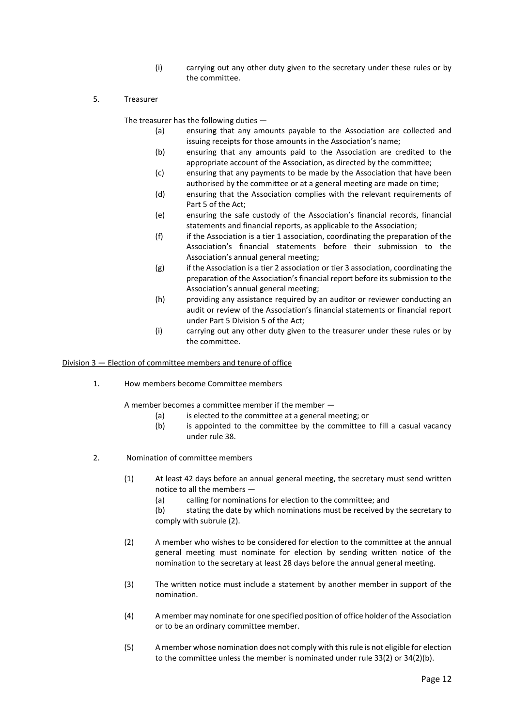- (i) carrying out any other duty given to the secretary under these rules or by the committee.
- 5. Treasurer

The treasurer has the following duties —

- (a) ensuring that any amounts payable to the Association are collected and issuing receipts for those amounts in the Association's name;
- (b) ensuring that any amounts paid to the Association are credited to the appropriate account of the Association, as directed by the committee;
- (c) ensuring that any payments to be made by the Association that have been authorised by the committee or at a general meeting are made on time;
- (d) ensuring that the Association complies with the relevant requirements of Part 5 of the Act;
- (e) ensuring the safe custody of the Association's financial records, financial statements and financial reports, as applicable to the Association;
- (f) if the Association is a tier 1 association, coordinating the preparation of the Association's financial statements before their submission to the Association's annual general meeting;
- (g) if the Association is a tier 2 association or tier 3 association, coordinating the preparation of the Association's financial report before its submission to the Association's annual general meeting;
- (h) providing any assistance required by an auditor or reviewer conducting an audit or review of the Association's financial statements or financial report under Part 5 Division 5 of the Act;
- (i) carrying out any other duty given to the treasurer under these rules or by the committee.

#### Division 3 — Election of committee members and tenure of office

1. How members become Committee members

A member becomes a committee member if the member —

- (a) is elected to the committee at a general meeting; or
- (b) is appointed to the committee by the committee to fill a casual vacancy under rule 38.
- 2. Nomination of committee members
	- (1) At least 42 days before an annual general meeting, the secretary must send written notice to all the members —
		- (a) calling for nominations for election to the committee; and
		- (b) stating the date by which nominations must be received by the secretary to comply with subrule (2).
	- (2) A member who wishes to be considered for election to the committee at the annual general meeting must nominate for election by sending written notice of the nomination to the secretary at least 28 days before the annual general meeting.
	- (3) The written notice must include a statement by another member in support of the nomination.
	- (4) A member may nominate for one specified position of office holder of the Association or to be an ordinary committee member.
	- (5) A member whose nomination does not comply with this rule is not eligible for election to the committee unless the member is nominated under rule 33(2) or 34(2)(b).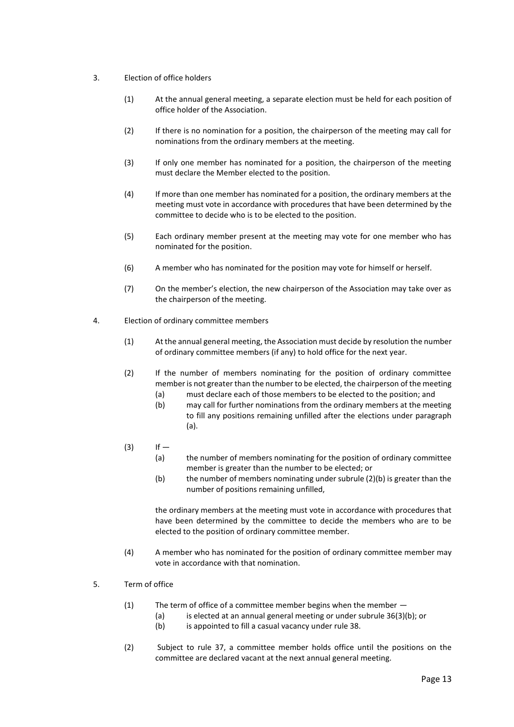- 3. Election of office holders
	- (1) At the annual general meeting, a separate election must be held for each position of office holder of the Association.
	- (2) If there is no nomination for a position, the chairperson of the meeting may call for nominations from the ordinary members at the meeting.
	- (3) If only one member has nominated for a position, the chairperson of the meeting must declare the Member elected to the position.
	- (4) If more than one member has nominated for a position, the ordinary members at the meeting must vote in accordance with procedures that have been determined by the committee to decide who is to be elected to the position.
	- (5) Each ordinary member present at the meeting may vote for one member who has nominated for the position.
	- (6) A member who has nominated for the position may vote for himself or herself.
	- (7) On the member's election, the new chairperson of the Association may take over as the chairperson of the meeting.
- 4. Election of ordinary committee members
	- (1) At the annual general meeting, the Association must decide by resolution the number of ordinary committee members (if any) to hold office for the next year.
	- (2) If the number of members nominating for the position of ordinary committee member is not greater than the number to be elected, the chairperson of the meeting
		- (a) must declare each of those members to be elected to the position; and
		- (b) may call for further nominations from the ordinary members at the meeting to fill any positions remaining unfilled after the elections under paragraph (a).
	- $(3)$  If
		- (a) the number of members nominating for the position of ordinary committee member is greater than the number to be elected; or
		- (b) the number of members nominating under subrule (2)(b) is greater than the number of positions remaining unfilled,

the ordinary members at the meeting must vote in accordance with procedures that have been determined by the committee to decide the members who are to be elected to the position of ordinary committee member.

- (4) A member who has nominated for the position of ordinary committee member may vote in accordance with that nomination.
- 5. Term of office
	- (1) The term of office of a committee member begins when the member  $-$ 
		- (a) is elected at an annual general meeting or under subrule 36(3)(b); or
		- (b) is appointed to fill a casual vacancy under rule 38.
	- (2) Subject to rule 37, a committee member holds office until the positions on the committee are declared vacant at the next annual general meeting.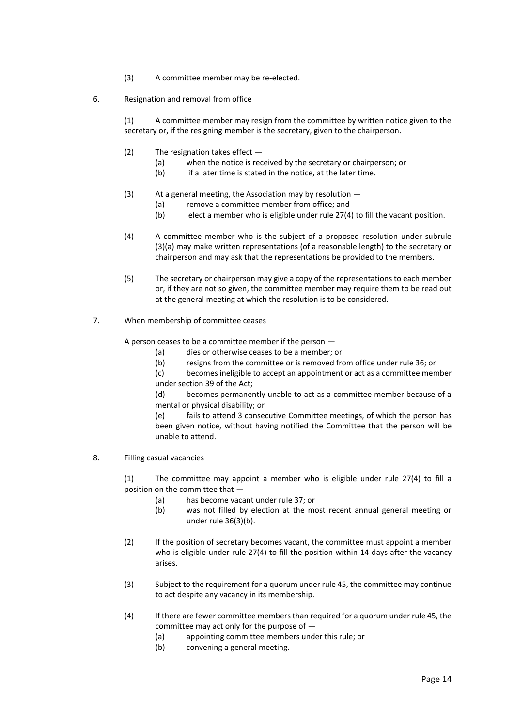- (3) A committee member may be re-elected.
- 6. Resignation and removal from office

(1) A committee member may resign from the committee by written notice given to the secretary or, if the resigning member is the secretary, given to the chairperson.

- $(2)$  The resignation takes effect  $-$ 
	- (a) when the notice is received by the secretary or chairperson; or
	- (b) if a later time is stated in the notice, at the later time.
- (3) At a general meeting, the Association may by resolution
	- (a) remove a committee member from office; and
	- (b) elect a member who is eligible under rule 27(4) to fill the vacant position.
- (4) A committee member who is the subject of a proposed resolution under subrule (3)(a) may make written representations (of a reasonable length) to the secretary or chairperson and may ask that the representations be provided to the members.
- (5) The secretary or chairperson may give a copy of the representations to each member or, if they are not so given, the committee member may require them to be read out at the general meeting at which the resolution is to be considered.
- 7. When membership of committee ceases

A person ceases to be a committee member if the person —

- (a) dies or otherwise ceases to be a member; or
- (b) resigns from the committee or is removed from office under rule 36; or

(c) becomes ineligible to accept an appointment or act as a committee member under section 39 of the Act;

(d) becomes permanently unable to act as a committee member because of a mental or physical disability; or

(e) fails to attend 3 consecutive Committee meetings, of which the person has been given notice, without having notified the Committee that the person will be unable to attend.

8. Filling casual vacancies

(1) The committee may appoint a member who is eligible under rule 27(4) to fill a position on the committee that —

- (a) has become vacant under rule 37; or
- (b) was not filled by election at the most recent annual general meeting or under rule 36(3)(b).
- (2) If the position of secretary becomes vacant, the committee must appoint a member who is eligible under rule 27(4) to fill the position within 14 days after the vacancy arises.
- (3) Subject to the requirement for a quorum under rule 45, the committee may continue to act despite any vacancy in its membership.
- (4) If there are fewer committee members than required for a quorum under rule 45, the committee may act only for the purpose of —
	- (a) appointing committee members under this rule; or
	- (b) convening a general meeting.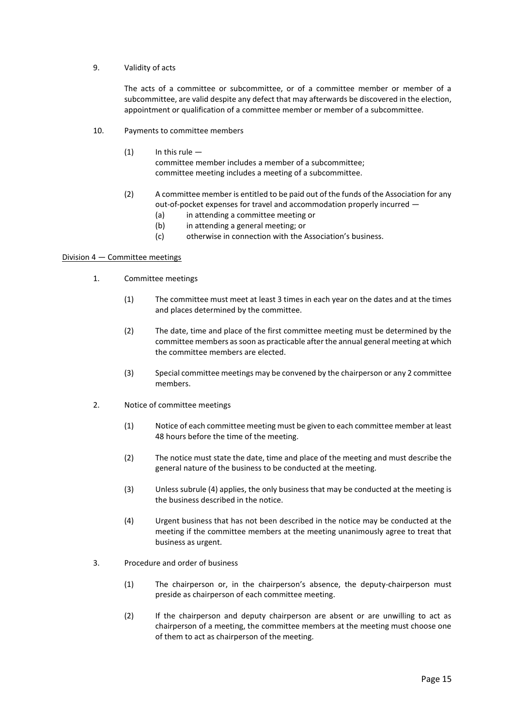#### 9. Validity of acts

The acts of a committee or subcommittee, or of a committee member or member of a subcommittee, are valid despite any defect that may afterwards be discovered in the election, appointment or qualification of a committee member or member of a subcommittee.

- 10. Payments to committee members
	- $(1)$  In this rule committee member includes a member of a subcommittee; committee meeting includes a meeting of a subcommittee.
	- (2) A committee member is entitled to be paid out of the funds of the Association for any out-of-pocket expenses for travel and accommodation properly incurred —
		- (a) in attending a committee meeting or
		- (b) in attending a general meeting; or
		- (c) otherwise in connection with the Association's business.

#### Division 4 — Committee meetings

- 1. Committee meetings
	- (1) The committee must meet at least 3 times in each year on the dates and at the times and places determined by the committee.
	- (2) The date, time and place of the first committee meeting must be determined by the committee members as soon as practicable after the annual general meeting at which the committee members are elected.
	- (3) Special committee meetings may be convened by the chairperson or any 2 committee members.
- 2. Notice of committee meetings
	- (1) Notice of each committee meeting must be given to each committee member at least 48 hours before the time of the meeting.
	- (2) The notice must state the date, time and place of the meeting and must describe the general nature of the business to be conducted at the meeting.
	- (3) Unless subrule (4) applies, the only business that may be conducted at the meeting is the business described in the notice.
	- (4) Urgent business that has not been described in the notice may be conducted at the meeting if the committee members at the meeting unanimously agree to treat that business as urgent.
- 3. Procedure and order of business
	- (1) The chairperson or, in the chairperson's absence, the deputy-chairperson must preside as chairperson of each committee meeting.
	- (2) If the chairperson and deputy chairperson are absent or are unwilling to act as chairperson of a meeting, the committee members at the meeting must choose one of them to act as chairperson of the meeting.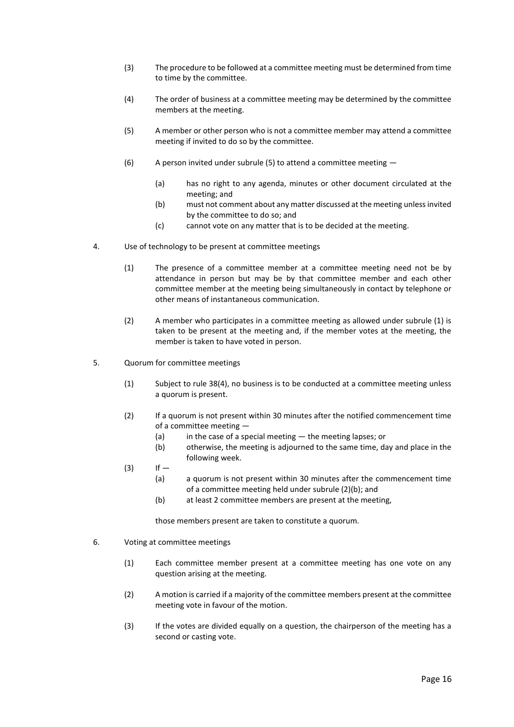- (3) The procedure to be followed at a committee meeting must be determined from time to time by the committee.
- (4) The order of business at a committee meeting may be determined by the committee members at the meeting.
- (5) A member or other person who is not a committee member may attend a committee meeting if invited to do so by the committee.
- (6) A person invited under subrule (5) to attend a committee meeting  $-$ 
	- (a) has no right to any agenda, minutes or other document circulated at the meeting; and
	- (b) must not comment about any matter discussed at the meeting unless invited by the committee to do so; and
	- (c) cannot vote on any matter that is to be decided at the meeting.
- 4. Use of technology to be present at committee meetings
	- (1) The presence of a committee member at a committee meeting need not be by attendance in person but may be by that committee member and each other committee member at the meeting being simultaneously in contact by telephone or other means of instantaneous communication.
	- (2) A member who participates in a committee meeting as allowed under subrule (1) is taken to be present at the meeting and, if the member votes at the meeting, the member is taken to have voted in person.
- 5. Quorum for committee meetings
	- (1) Subject to rule 38(4), no business is to be conducted at a committee meeting unless a quorum is present.
	- (2) If a quorum is not present within 30 minutes after the notified commencement time of a committee meeting —
		- (a) in the case of a special meeting the meeting lapses; or
		- (b) otherwise, the meeting is adjourned to the same time, day and place in the following week.
	- $(3)$  If
		- (a) a quorum is not present within 30 minutes after the commencement time of a committee meeting held under subrule (2)(b); and
		- (b) at least 2 committee members are present at the meeting,

those members present are taken to constitute a quorum.

- 6. Voting at committee meetings
	- (1) Each committee member present at a committee meeting has one vote on any question arising at the meeting.
	- (2) A motion is carried if a majority of the committee members present at the committee meeting vote in favour of the motion.
	- (3) If the votes are divided equally on a question, the chairperson of the meeting has a second or casting vote.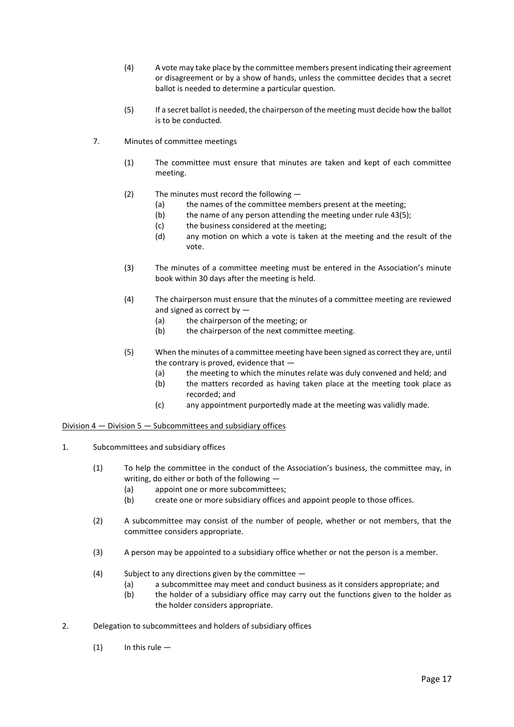- (4) A vote may take place by the committee members present indicating their agreement or disagreement or by a show of hands, unless the committee decides that a secret ballot is needed to determine a particular question.
- (5) If a secret ballot is needed, the chairperson of the meeting must decide how the ballot is to be conducted.
- 7. Minutes of committee meetings
	- (1) The committee must ensure that minutes are taken and kept of each committee meeting.
	- (2) The minutes must record the following
		- (a) the names of the committee members present at the meeting:
		- (b) the name of any person attending the meeting under rule 43(5);
		- (c) the business considered at the meeting;
		- (d) any motion on which a vote is taken at the meeting and the result of the vote.
	- (3) The minutes of a committee meeting must be entered in the Association's minute book within 30 days after the meeting is held.
	- (4) The chairperson must ensure that the minutes of a committee meeting are reviewed and signed as correct by —
		- (a) the chairperson of the meeting; or
		- (b) the chairperson of the next committee meeting.
	- (5) When the minutes of a committee meeting have been signed as correct they are, until the contrary is proved, evidence that —
		- (a) the meeting to which the minutes relate was duly convened and held; and
		- (b) the matters recorded as having taken place at the meeting took place as recorded; and
		- (c) any appointment purportedly made at the meeting was validly made.

#### Division 4 — Division 5 — Subcommittees and subsidiary offices

- 1. Subcommittees and subsidiary offices
	- (1) To help the committee in the conduct of the Association's business, the committee may, in writing, do either or both of the following -
		- (a) appoint one or more subcommittees;
		- (b) create one or more subsidiary offices and appoint people to those offices.
	- (2) A subcommittee may consist of the number of people, whether or not members, that the committee considers appropriate.
	- (3) A person may be appointed to a subsidiary office whether or not the person is a member.
	- (4) Subject to any directions given by the committee
		- (a) a subcommittee may meet and conduct business as it considers appropriate; and
		- (b) the holder of a subsidiary office may carry out the functions given to the holder as the holder considers appropriate.
- 2. Delegation to subcommittees and holders of subsidiary offices
	- $(1)$  In this rule —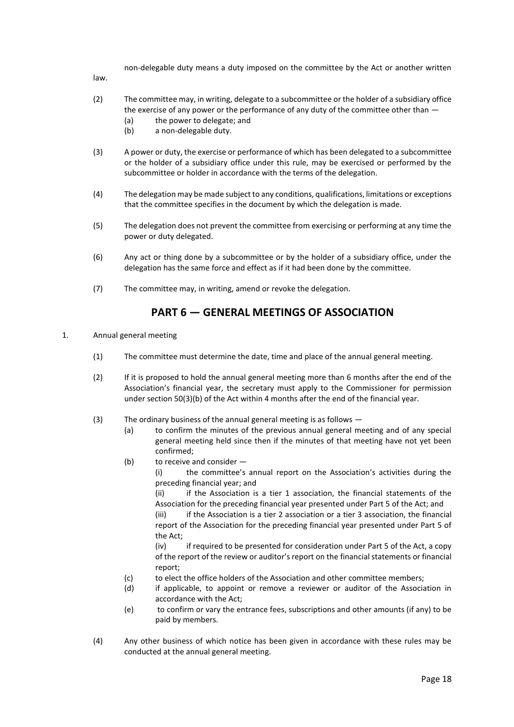non-delegable duty means a duty imposed on the committee by the Act or another written

law.

- (2) The committee may, in writing, delegate to a subcommittee or the holder of a subsidiary office the exercise of any power or the performance of any duty of the committee other than —
	- (a) the power to delegate; and
	- (b) a non-delegable duty.
- (3) A power or duty, the exercise or performance of which has been delegated to a subcommittee or the holder of a subsidiary office under this rule, may be exercised or performed by the subcommittee or holder in accordance with the terms of the delegation.
- (4) The delegation may be made subject to any conditions, qualifications, limitations or exceptions that the committee specifies in the document by which the delegation is made.
- (5) The delegation does not prevent the committee from exercising or performing at any time the power or duty delegated.
- (6) Any act or thing done by a subcommittee or by the holder of a subsidiary office, under the delegation has the same force and effect as if it had been done by the committee.
- (7) The committee may, in writing, amend or revoke the delegation.

## **PART 6 — GENERAL MEETINGS OF ASSOCIATION**

- <span id="page-17-0"></span>1. Annual general meeting
	- (1) The committee must determine the date, time and place of the annual general meeting.
	- (2) If it is proposed to hold the annual general meeting more than 6 months after the end of the Association's financial year, the secretary must apply to the Commissioner for permission under section 50(3)(b) of the Act within 4 months after the end of the financial year.
	- (3) The ordinary business of the annual general meeting is as follows
		- (a) to confirm the minutes of the previous annual general meeting and of any special general meeting held since then if the minutes of that meeting have not yet been confirmed;
		- (b) to receive and consider —

(i) the committee's annual report on the Association's activities during the preceding financial year; and

(ii) if the Association is a tier 1 association, the financial statements of the Association for the preceding financial year presented under Part 5 of the Act; and (iii) if the Association is a tier 2 association or a tier 3 association, the financial

report of the Association for the preceding financial year presented under Part 5 of the Act;

(iv) if required to be presented for consideration under Part 5 of the Act, a copy of the report of the review or auditor's report on the financial statements or financial report;

- (c) to elect the office holders of the Association and other committee members;
- (d) if applicable, to appoint or remove a reviewer or auditor of the Association in accordance with the Act;
- (e) to confirm or vary the entrance fees, subscriptions and other amounts (if any) to be paid by members.
- (4) Any other business of which notice has been given in accordance with these rules may be conducted at the annual general meeting.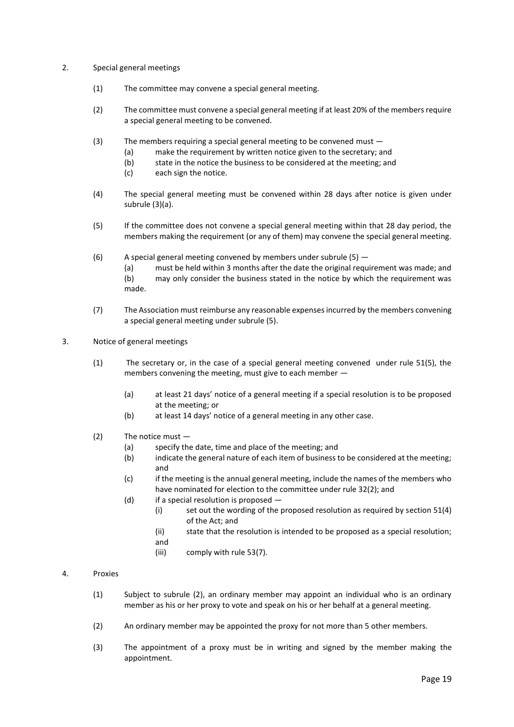#### 2. Special general meetings

- (1) The committee may convene a special general meeting.
- (2) The committee must convene a special general meeting if at least 20% of the members require a special general meeting to be convened.
- (3) The members requiring a special general meeting to be convened must
	- (a) make the requirement by written notice given to the secretary; and
	- (b) state in the notice the business to be considered at the meeting; and
	- (c) each sign the notice.
- (4) The special general meeting must be convened within 28 days after notice is given under subrule (3)(a).
- (5) If the committee does not convene a special general meeting within that 28 day period, the members making the requirement (or any of them) may convene the special general meeting.
- (6) A special general meeting convened by members under subrule  $(5)$  -(a) must be held within 3 months after the date the original requirement was made; and (b) may only consider the business stated in the notice by which the requirement was made.
- (7) The Association must reimburse any reasonable expenses incurred by the members convening a special general meeting under subrule (5).
- 3. Notice of general meetings
	- (1) The secretary or, in the case of a special general meeting convened under rule 51(5), the members convening the meeting, must give to each member —
		- (a) at least 21 days' notice of a general meeting if a special resolution is to be proposed at the meeting; or
		- (b) at least 14 days' notice of a general meeting in any other case.
	- (2) The notice must
		- (a) specify the date, time and place of the meeting; and
		- (b) indicate the general nature of each item of business to be considered at the meeting; and
		- (c) if the meeting is the annual general meeting, include the names of the members who have nominated for election to the committee under rule 32(2); and
		- (d) if a special resolution is proposed
			- (i) set out the wording of the proposed resolution as required by section 51(4) of the Act; and
			- (ii) state that the resolution is intended to be proposed as a special resolution;
			- and
			- (iii) comply with rule 53(7).

#### 4. Proxies

- (1) Subject to subrule (2), an ordinary member may appoint an individual who is an ordinary member as his or her proxy to vote and speak on his or her behalf at a general meeting.
- (2) An ordinary member may be appointed the proxy for not more than 5 other members.
- (3) The appointment of a proxy must be in writing and signed by the member making the appointment.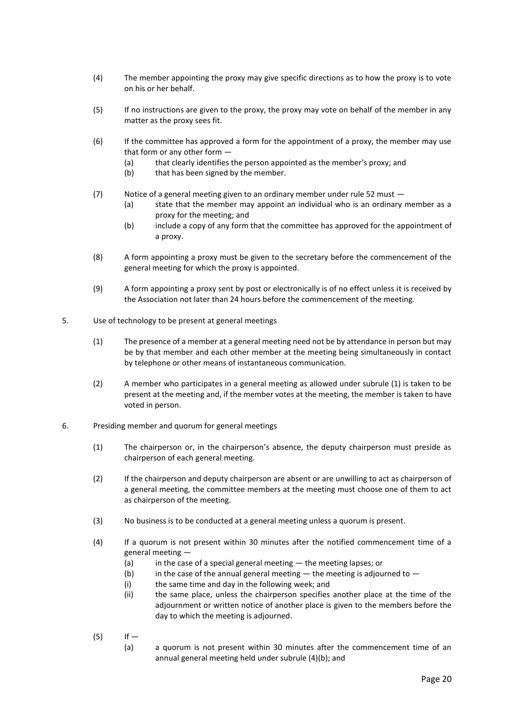- (4) The member appointing the proxy may give specific directions as to how the proxy is to vote on his or her behalf.
- (5) If no instructions are given to the proxy, the proxy may vote on behalf of the member in any matter as the proxy sees fit.
- (6) If the committee has approved a form for the appointment of a proxy, the member may use that form or any other form —
	- (a) that clearly identifies the person appointed as the member's proxy; and
	- (b) that has been signed by the member.
- (7) Notice of a general meeting given to an ordinary member under rule 52 must
	- (a) state that the member may appoint an individual who is an ordinary member as a proxy for the meeting; and
	- (b) include a copy of any form that the committee has approved for the appointment of a proxy.
- (8) A form appointing a proxy must be given to the secretary before the commencement of the general meeting for which the proxy is appointed.
- (9) A form appointing a proxy sent by post or electronically is of no effect unless it is received by the Association not later than 24 hours before the commencement of the meeting.
- 5. Use of technology to be present at general meetings
	- (1) The presence of a member at a general meeting need not be by attendance in person but may be by that member and each other member at the meeting being simultaneously in contact by telephone or other means of instantaneous communication.
	- (2) A member who participates in a general meeting as allowed under subrule (1) is taken to be present at the meeting and, if the member votes at the meeting, the member is taken to have voted in person.
- 6. Presiding member and quorum for general meetings
	- (1) The chairperson or, in the chairperson's absence, the deputy chairperson must preside as chairperson of each general meeting.
	- (2) If the chairperson and deputy chairperson are absent or are unwilling to act as chairperson of a general meeting, the committee members at the meeting must choose one of them to act as chairperson of the meeting.
	- (3) No business is to be conducted at a general meeting unless a quorum is present.
	- (4) If a quorum is not present within 30 minutes after the notified commencement time of a general meeting —
		- (a) in the case of a special general meeting the meeting lapses; or
		- (b) in the case of the annual general meeting  $-$  the meeting is adjourned to  $-$
		- (i) the same time and day in the following week; and
		- (ii) the same place, unless the chairperson specifies another place at the time of the adjournment or written notice of another place is given to the members before the day to which the meeting is adjourned.
	- $(5)$  If
		- (a) a quorum is not present within 30 minutes after the commencement time of an annual general meeting held under subrule (4)(b); and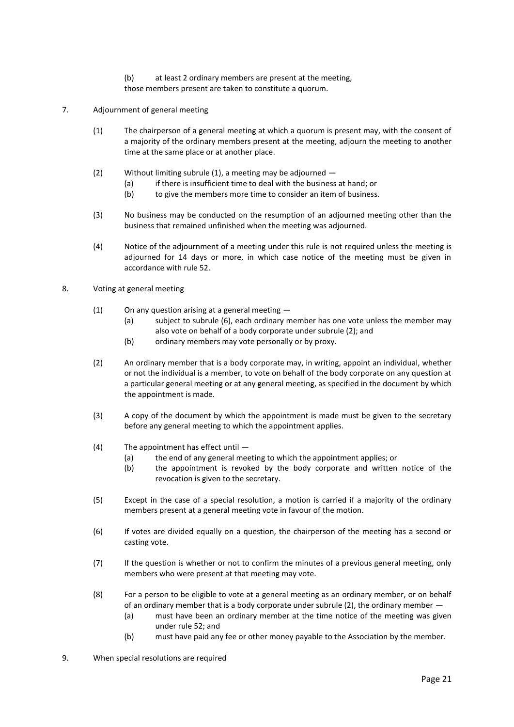- (b) at least 2 ordinary members are present at the meeting,
- those members present are taken to constitute a quorum.
- 7. Adjournment of general meeting
	- (1) The chairperson of a general meeting at which a quorum is present may, with the consent of a majority of the ordinary members present at the meeting, adjourn the meeting to another time at the same place or at another place.
	- (2) Without limiting subrule (1), a meeting may be adjourned
		- (a) if there is insufficient time to deal with the business at hand; or
		- (b) to give the members more time to consider an item of business.
	- (3) No business may be conducted on the resumption of an adjourned meeting other than the business that remained unfinished when the meeting was adjourned.
	- (4) Notice of the adjournment of a meeting under this rule is not required unless the meeting is adjourned for 14 days or more, in which case notice of the meeting must be given in accordance with rule 52.

#### 8. Voting at general meeting

- (1) On any question arising at a general meeting
	- (a) subject to subrule (6), each ordinary member has one vote unless the member may also vote on behalf of a body corporate under subrule (2); and
	- (b) ordinary members may vote personally or by proxy.
- (2) An ordinary member that is a body corporate may, in writing, appoint an individual, whether or not the individual is a member, to vote on behalf of the body corporate on any question at a particular general meeting or at any general meeting, as specified in the document by which the appointment is made.
- (3) A copy of the document by which the appointment is made must be given to the secretary before any general meeting to which the appointment applies.
- (4) The appointment has effect until
	- (a) the end of any general meeting to which the appointment applies; or
	- (b) the appointment is revoked by the body corporate and written notice of the revocation is given to the secretary.
- (5) Except in the case of a special resolution, a motion is carried if a majority of the ordinary members present at a general meeting vote in favour of the motion.
- (6) If votes are divided equally on a question, the chairperson of the meeting has a second or casting vote.
- (7) If the question is whether or not to confirm the minutes of a previous general meeting, only members who were present at that meeting may vote.
- (8) For a person to be eligible to vote at a general meeting as an ordinary member, or on behalf of an ordinary member that is a body corporate under subrule (2), the ordinary member —
	- (a) must have been an ordinary member at the time notice of the meeting was given under rule 52; and
	- (b) must have paid any fee or other money payable to the Association by the member.
- 9. When special resolutions are required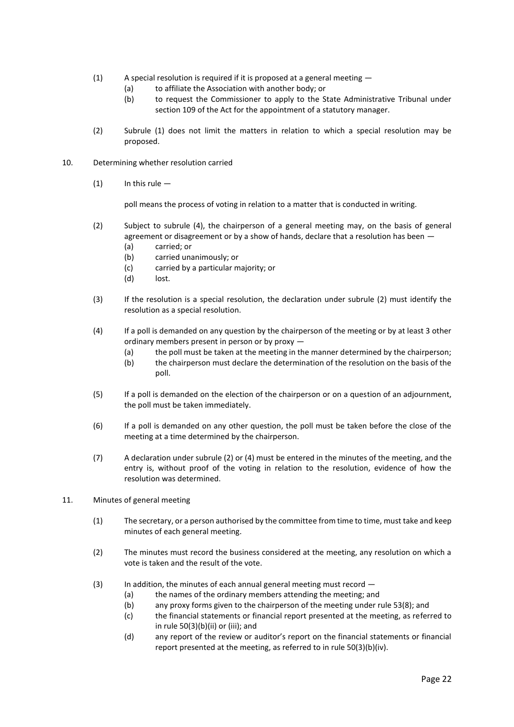- (1) A special resolution is required if it is proposed at a general meeting
	- (a) to affiliate the Association with another body; or
	- (b) to request the Commissioner to apply to the State Administrative Tribunal under section 109 of the Act for the appointment of a statutory manager.
- (2) Subrule (1) does not limit the matters in relation to which a special resolution may be proposed.
- 10. Determining whether resolution carried
	- $(1)$  In this rule —

poll means the process of voting in relation to a matter that is conducted in writing.

- (2) Subject to subrule (4), the chairperson of a general meeting may, on the basis of general agreement or disagreement or by a show of hands, declare that a resolution has been  $-$ 
	- (a) carried; or
	- (b) carried unanimously; or
	- (c) carried by a particular majority; or
	- (d) lost.
- (3) If the resolution is a special resolution, the declaration under subrule (2) must identify the resolution as a special resolution.
- (4) If a poll is demanded on any question by the chairperson of the meeting or by at least 3 other ordinary members present in person or by proxy —
	- (a) the poll must be taken at the meeting in the manner determined by the chairperson;
	- (b) the chairperson must declare the determination of the resolution on the basis of the poll.
- (5) If a poll is demanded on the election of the chairperson or on a question of an adjournment, the poll must be taken immediately.
- (6) If a poll is demanded on any other question, the poll must be taken before the close of the meeting at a time determined by the chairperson.
- (7) A declaration under subrule (2) or (4) must be entered in the minutes of the meeting, and the entry is, without proof of the voting in relation to the resolution, evidence of how the resolution was determined.
- 11. Minutes of general meeting
	- (1) The secretary, or a person authorised by the committee from time to time, must take and keep minutes of each general meeting.
	- (2) The minutes must record the business considered at the meeting, any resolution on which a vote is taken and the result of the vote.
	- (3) In addition, the minutes of each annual general meeting must record  $-$ 
		- (a) the names of the ordinary members attending the meeting; and
		- (b) any proxy forms given to the chairperson of the meeting under rule 53(8); and
		- (c) the financial statements or financial report presented at the meeting, as referred to in rule 50(3)(b)(ii) or (iii); and
		- (d) any report of the review or auditor's report on the financial statements or financial report presented at the meeting, as referred to in rule 50(3)(b)(iv).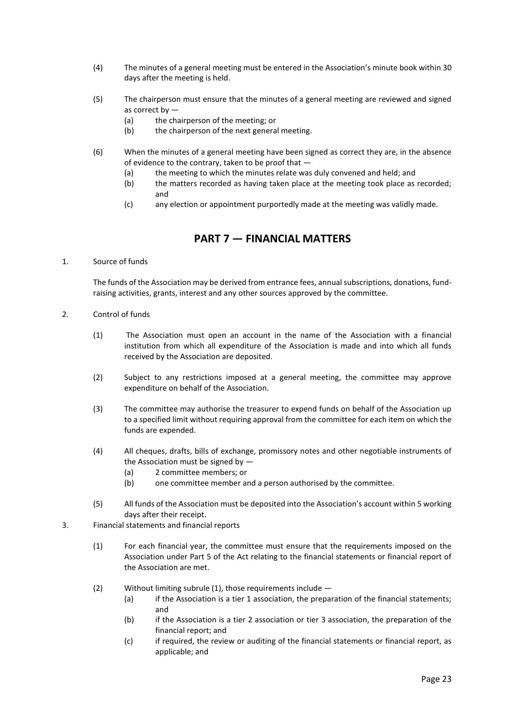- (4) The minutes of a general meeting must be entered in the Association's minute book within 30 days after the meeting is held.
- (5) The chairperson must ensure that the minutes of a general meeting are reviewed and signed as correct by —
	- (a) the chairperson of the meeting; or
	- (b) the chairperson of the next general meeting.
- (6) When the minutes of a general meeting have been signed as correct they are, in the absence of evidence to the contrary, taken to be proof that —
	- (a) the meeting to which the minutes relate was duly convened and held; and
	- (b) the matters recorded as having taken place at the meeting took place as recorded; and
	- (c) any election or appointment purportedly made at the meeting was validly made.

## **PART 7 — FINANCIAL MATTERS**

<span id="page-22-0"></span>1. Source of funds

The funds of the Association may be derived from entrance fees, annual subscriptions, donations, fundraising activities, grants, interest and any other sources approved by the committee.

- 2. Control of funds
	- (1) The Association must open an account in the name of the Association with a financial institution from which all expenditure of the Association is made and into which all funds received by the Association are deposited.
	- (2) Subject to any restrictions imposed at a general meeting, the committee may approve expenditure on behalf of the Association.
	- (3) The committee may authorise the treasurer to expend funds on behalf of the Association up to a specified limit without requiring approval from the committee for each item on which the funds are expended.
	- (4) All cheques, drafts, bills of exchange, promissory notes and other negotiable instruments of the Association must be signed by —
		- (a) 2 committee members; or
		- (b) one committee member and a person authorised by the committee.
	- (5) All funds of the Association must be deposited into the Association's account within 5 working days after their receipt.
- 3. Financial statements and financial reports
	- (1) For each financial year, the committee must ensure that the requirements imposed on the Association under Part 5 of the Act relating to the financial statements or financial report of the Association are met.
	- (2) Without limiting subrule (1), those requirements include
		- (a) if the Association is a tier 1 association, the preparation of the financial statements; and
		- (b) if the Association is a tier 2 association or tier 3 association, the preparation of the financial report; and
		- (c) if required, the review or auditing of the financial statements or financial report, as applicable; and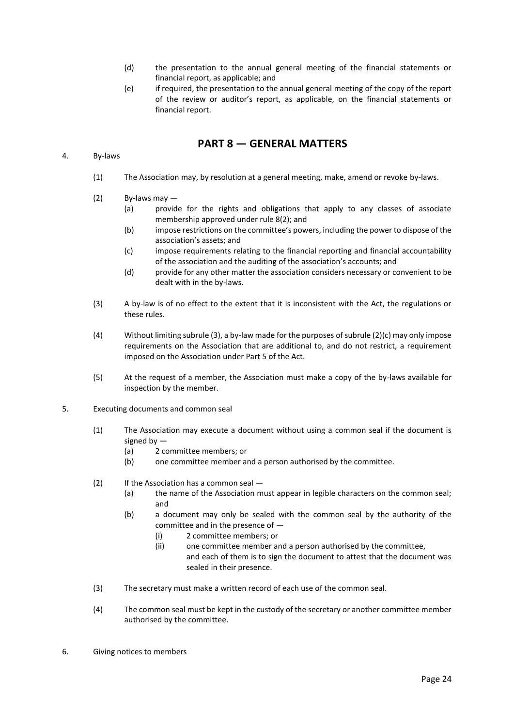- (d) the presentation to the annual general meeting of the financial statements or financial report, as applicable; and
- (e) if required, the presentation to the annual general meeting of the copy of the report of the review or auditor's report, as applicable, on the financial statements or financial report.

### **PART 8 — GENERAL MATTERS**

#### <span id="page-23-0"></span>4. By-laws

- (1) The Association may, by resolution at a general meeting, make, amend or revoke by-laws.
- (2) By-laws may
	- (a) provide for the rights and obligations that apply to any classes of associate membership approved under rule 8(2); and
	- (b) impose restrictions on the committee's powers, including the power to dispose of the association's assets; and
	- (c) impose requirements relating to the financial reporting and financial accountability of the association and the auditing of the association's accounts; and
	- (d) provide for any other matter the association considers necessary or convenient to be dealt with in the by-laws.
- (3) A by-law is of no effect to the extent that it is inconsistent with the Act, the regulations or these rules.
- (4) Without limiting subrule (3), a by-law made for the purposes of subrule (2)(c) may only impose requirements on the Association that are additional to, and do not restrict, a requirement imposed on the Association under Part 5 of the Act.
- (5) At the request of a member, the Association must make a copy of the by-laws available for inspection by the member.
- 5. Executing documents and common seal
	- (1) The Association may execute a document without using a common seal if the document is signed by —
		- (a) 2 committee members; or
		- (b) one committee member and a person authorised by the committee.
	- (2) If the Association has a common seal
		- (a) the name of the Association must appear in legible characters on the common seal; and
		- (b) a document may only be sealed with the common seal by the authority of the committee and in the presence of —
			- (i) 2 committee members; or
			- (ii) one committee member and a person authorised by the committee, and each of them is to sign the document to attest that the document was sealed in their presence.
	- (3) The secretary must make a written record of each use of the common seal.
	- (4) The common seal must be kept in the custody of the secretary or another committee member authorised by the committee.
- 6. Giving notices to members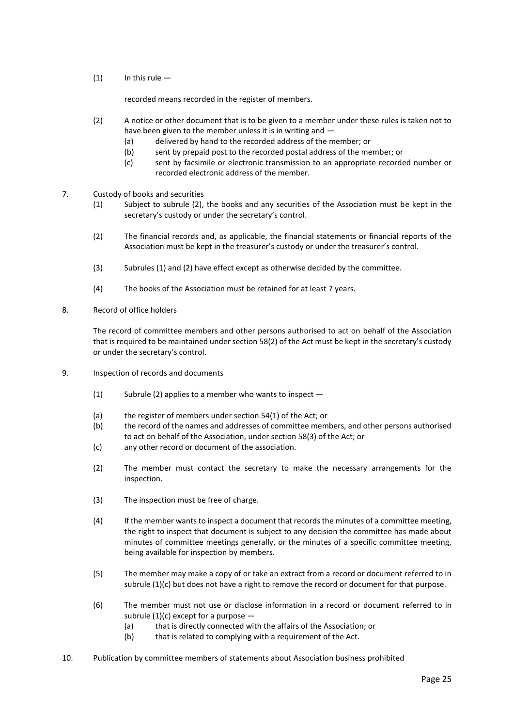$(1)$  In this rule —

recorded means recorded in the register of members.

- (2) A notice or other document that is to be given to a member under these rules is taken not to have been given to the member unless it is in writing and —
	- (a) delivered by hand to the recorded address of the member; or
	- (b) sent by prepaid post to the recorded postal address of the member; or
	- (c) sent by facsimile or electronic transmission to an appropriate recorded number or recorded electronic address of the member.
- 7. Custody of books and securities
	- (1) Subject to subrule (2), the books and any securities of the Association must be kept in the secretary's custody or under the secretary's control.
	- (2) The financial records and, as applicable, the financial statements or financial reports of the Association must be kept in the treasurer's custody or under the treasurer's control.
	- (3) Subrules (1) and (2) have effect except as otherwise decided by the committee.
	- (4) The books of the Association must be retained for at least 7 years.
- 8. Record of office holders

The record of committee members and other persons authorised to act on behalf of the Association that is required to be maintained under section 58(2) of the Act must be kept in the secretary's custody or under the secretary's control.

- 9. Inspection of records and documents
	- (1) Subrule (2) applies to a member who wants to inspect —
	- (a) the register of members under section 54(1) of the Act; or
	- (b) the record of the names and addresses of committee members, and other persons authorised to act on behalf of the Association, under section 58(3) of the Act; or
	- (c) any other record or document of the association.
	- (2) The member must contact the secretary to make the necessary arrangements for the inspection.
	- (3) The inspection must be free of charge.
	- (4) If the member wants to inspect a document that records the minutes of a committee meeting, the right to inspect that document is subject to any decision the committee has made about minutes of committee meetings generally, or the minutes of a specific committee meeting, being available for inspection by members.
	- (5) The member may make a copy of or take an extract from a record or document referred to in subrule (1)(c) but does not have a right to remove the record or document for that purpose.
	- (6) The member must not use or disclose information in a record or document referred to in subrule (1)(c) except for a purpose  $-$ 
		- (a) that is directly connected with the affairs of the Association; or
		- (b) that is related to complying with a requirement of the Act.
- 10. Publication by committee members of statements about Association business prohibited